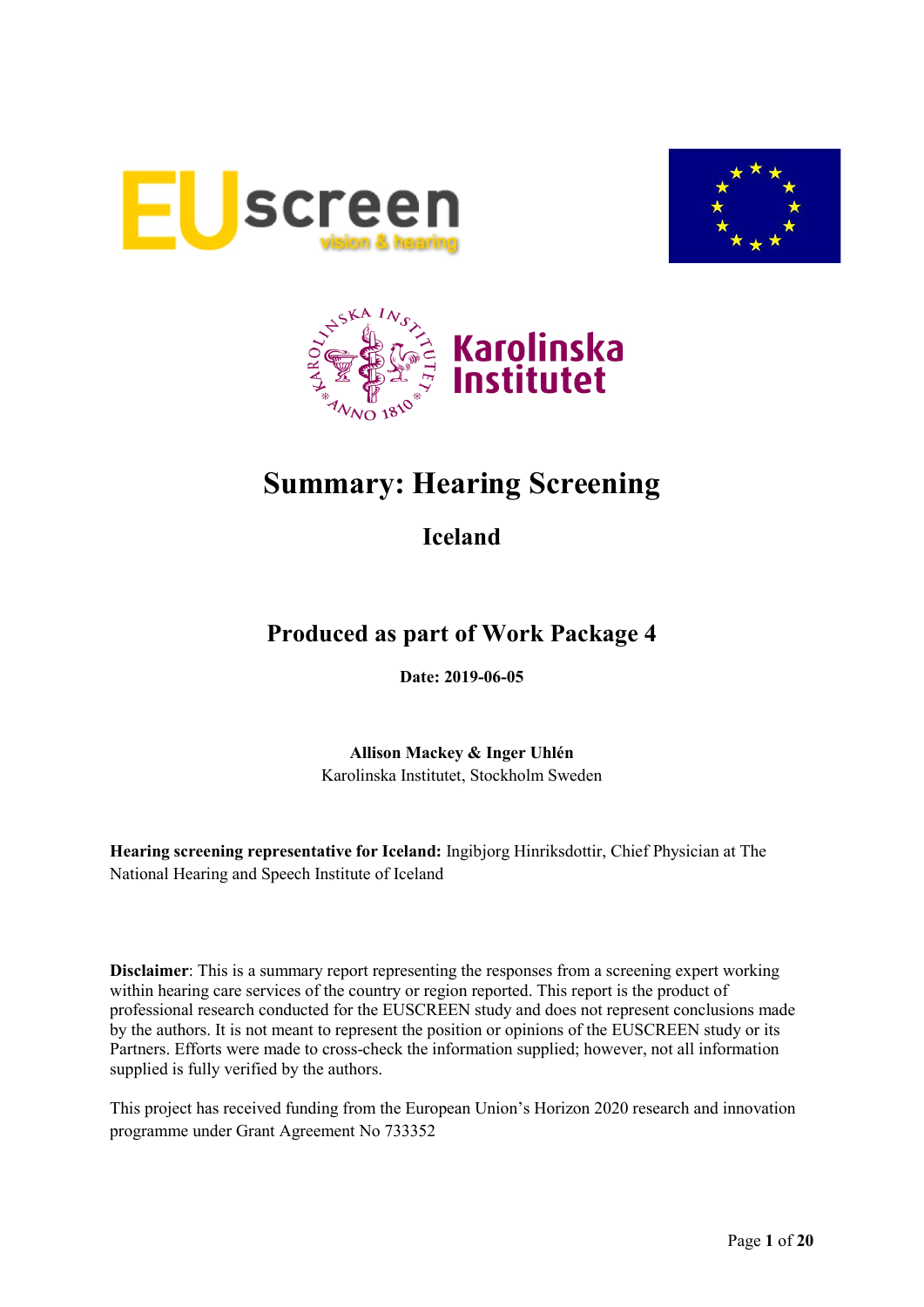





# **Summary: Hearing Screening**

## **Iceland**

## **Produced as part of Work Package 4**

**Date: 2019-06-05**

**Allison Mackey & Inger Uhlén** Karolinska Institutet, Stockholm Sweden

**Hearing screening representative for Iceland:** Ingibjorg Hinriksdottir, Chief Physician at The National Hearing and Speech Institute of Iceland

**Disclaimer**: This is a summary report representing the responses from a screening expert working within hearing care services of the country or region reported. This report is the product of professional research conducted for the EUSCREEN study and does not represent conclusions made by the authors. It is not meant to represent the position or opinions of the EUSCREEN study or its Partners. Efforts were made to cross-check the information supplied; however, not all information supplied is fully verified by the authors.

This project has received funding from the European Union's Horizon 2020 research and innovation programme under Grant Agreement No 733352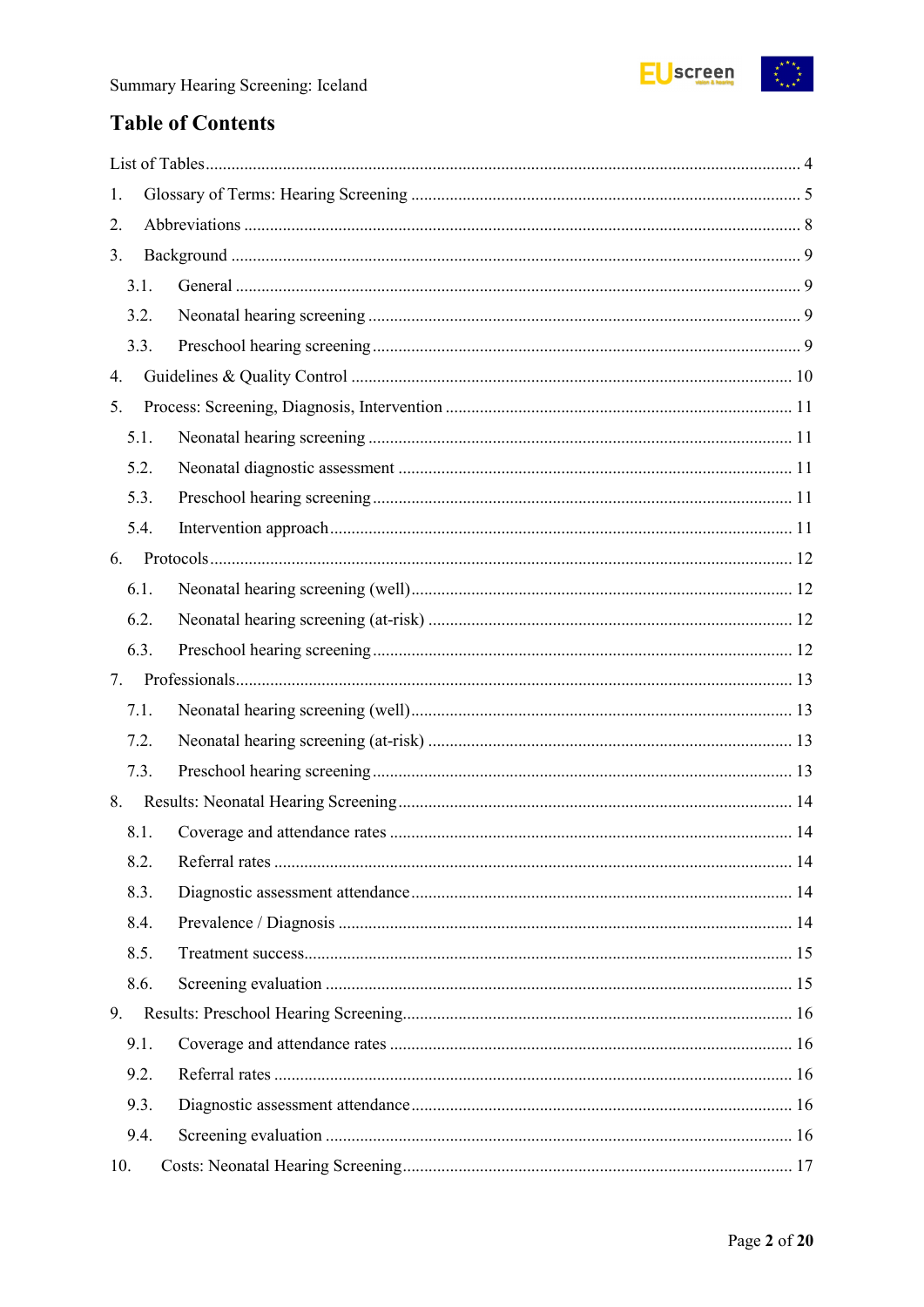

## **Table of Contents**

| 1.   |  |
|------|--|
| 2.   |  |
| 3.   |  |
| 3.1. |  |
| 3.2. |  |
| 3.3. |  |
| 4.   |  |
| 5.   |  |
| 5.1. |  |
| 5.2. |  |
| 5.3. |  |
| 5.4. |  |
| 6.   |  |
| 6.1. |  |
| 6.2. |  |
| 6.3. |  |
| 7.   |  |
| 7.1. |  |
| 7.2. |  |
| 7.3. |  |
| 8.   |  |
| 8.1. |  |
| 8.2. |  |
| 8.3. |  |
| 8.4. |  |
| 8.5. |  |
| 8.6. |  |
| 9.   |  |
| 9.1. |  |
| 9.2. |  |
| 9.3. |  |
| 9.4. |  |
| 10.  |  |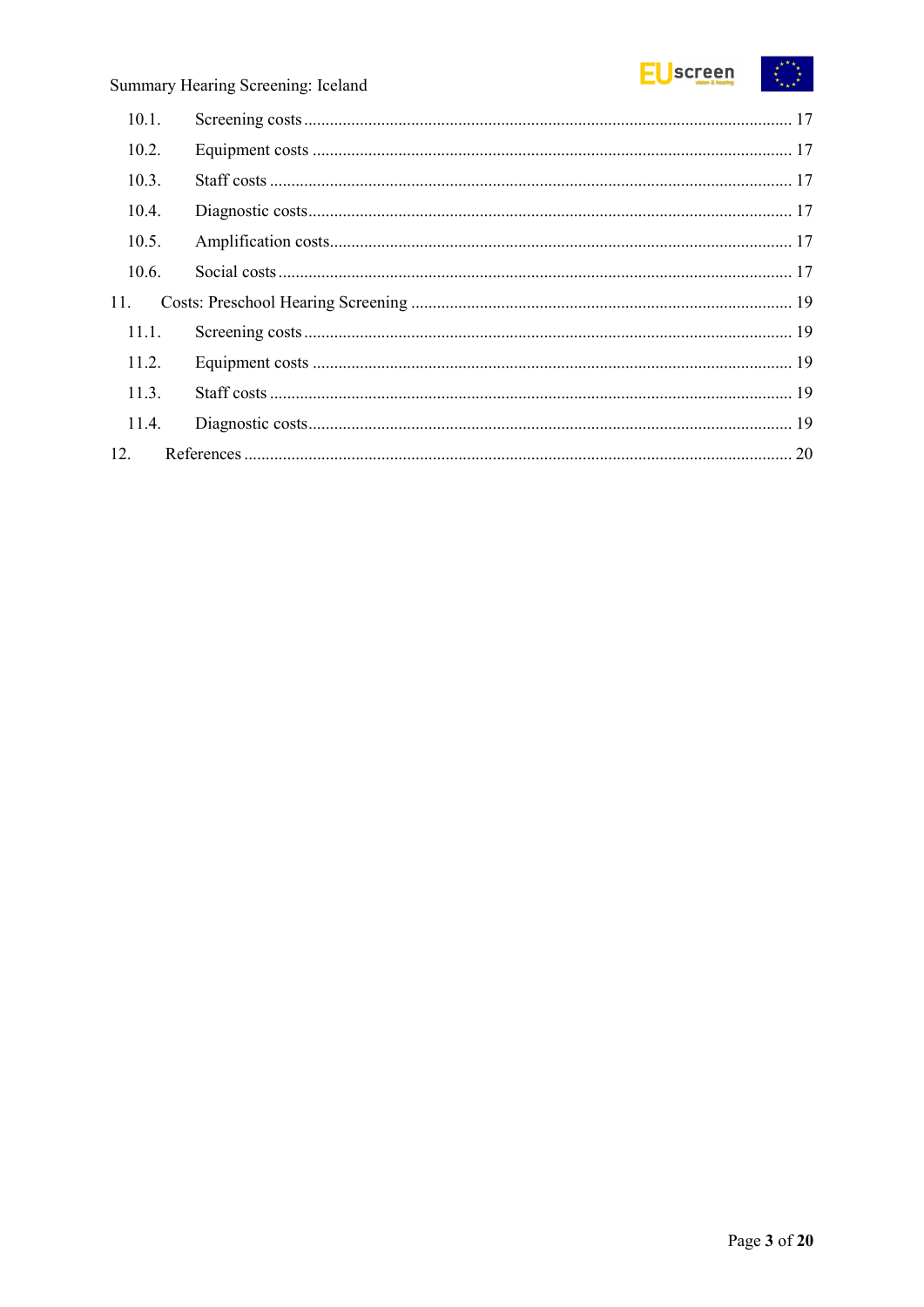

| 10.1. |  |
|-------|--|
| 10.2. |  |
| 10.3. |  |
| 10.4. |  |
| 10.5. |  |
| 10.6. |  |
| 11.   |  |
| 11.1. |  |
| 11.2. |  |
| 11.3. |  |
| 11.4. |  |
| 12.   |  |
|       |  |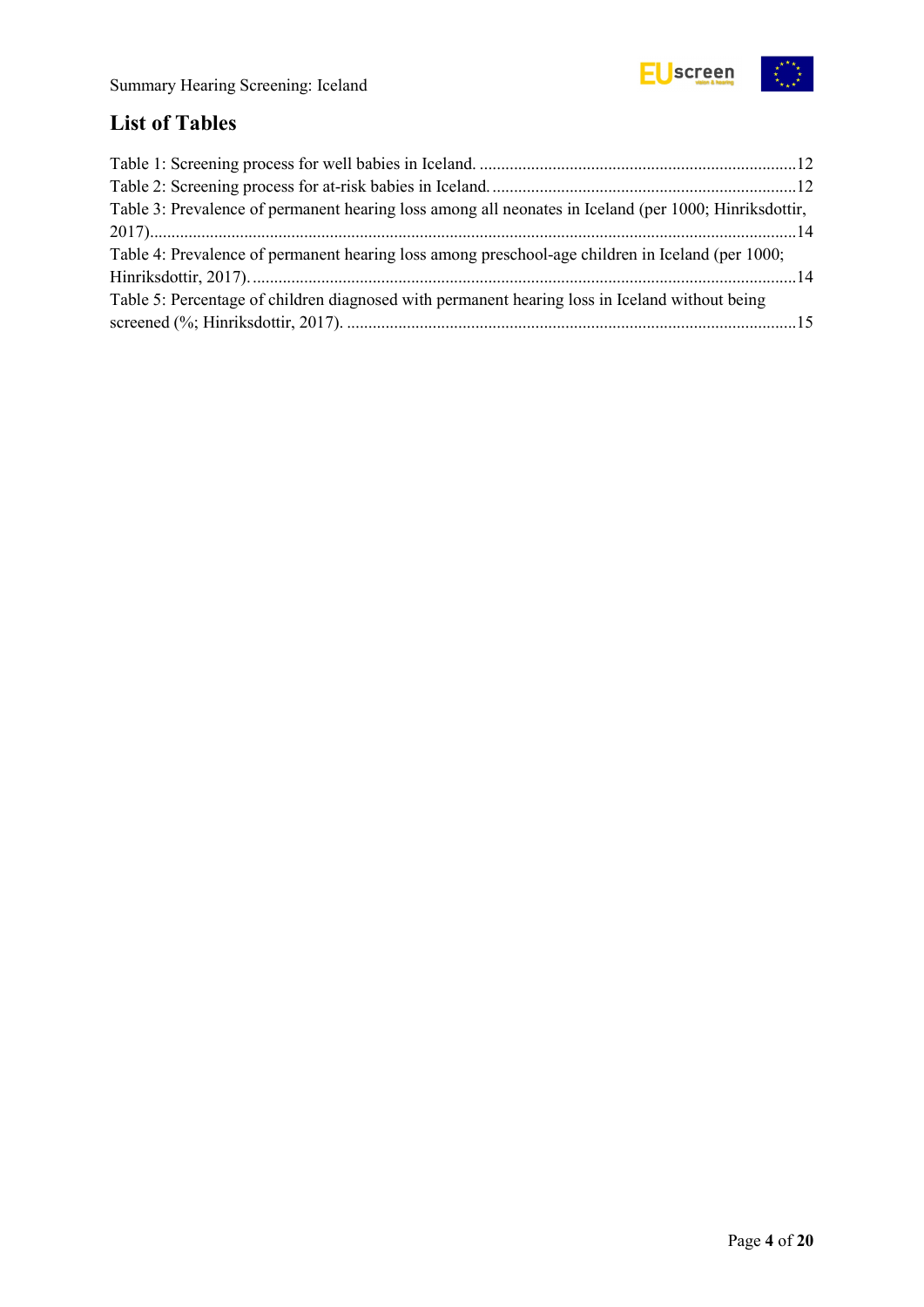

## <span id="page-3-0"></span>**List of Tables**

| Table 3: Prevalence of permanent hearing loss among all neonates in Iceland (per 1000; Hinriksdottir, |  |
|-------------------------------------------------------------------------------------------------------|--|
|                                                                                                       |  |
| Table 4: Prevalence of permanent hearing loss among preschool-age children in Iceland (per 1000;      |  |
|                                                                                                       |  |
| Table 5: Percentage of children diagnosed with permanent hearing loss in Iceland without being        |  |
|                                                                                                       |  |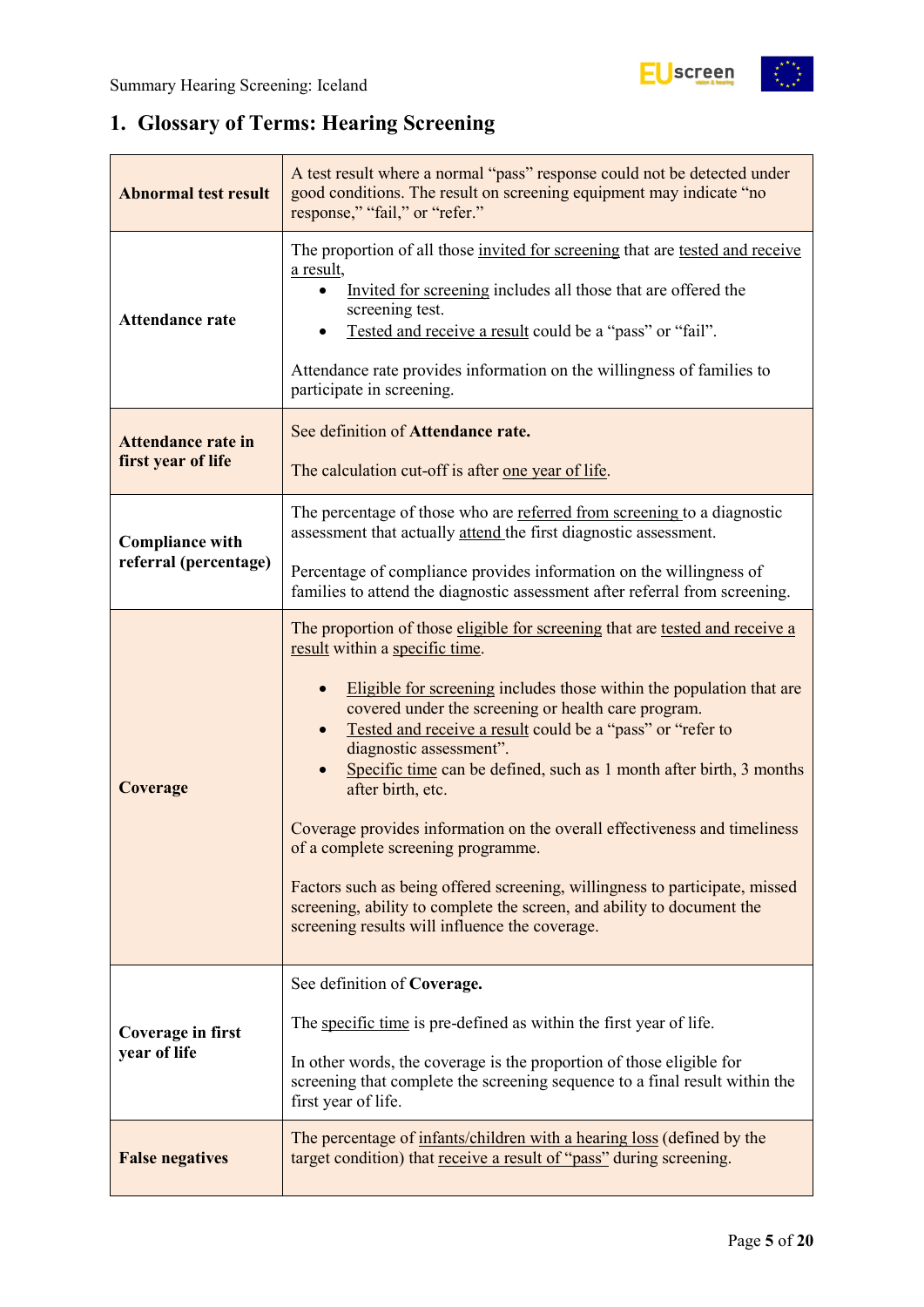

## <span id="page-4-0"></span>**1. Glossary of Terms: Hearing Screening**

| <b>Abnormal test result</b>                     | A test result where a normal "pass" response could not be detected under<br>good conditions. The result on screening equipment may indicate "no<br>response," "fail," or "refer."                                                                                                                                                                                                                                                                                                                                                                                                                                                                                                                                                                                |  |  |  |  |
|-------------------------------------------------|------------------------------------------------------------------------------------------------------------------------------------------------------------------------------------------------------------------------------------------------------------------------------------------------------------------------------------------------------------------------------------------------------------------------------------------------------------------------------------------------------------------------------------------------------------------------------------------------------------------------------------------------------------------------------------------------------------------------------------------------------------------|--|--|--|--|
| <b>Attendance rate</b>                          | The proportion of all those invited for screening that are tested and receive<br>a result,<br>Invited for screening includes all those that are offered the<br>screening test.<br>Tested and receive a result could be a "pass" or "fail".<br>Attendance rate provides information on the willingness of families to<br>participate in screening.                                                                                                                                                                                                                                                                                                                                                                                                                |  |  |  |  |
| <b>Attendance rate in</b><br>first year of life | See definition of Attendance rate.<br>The calculation cut-off is after one year of life.                                                                                                                                                                                                                                                                                                                                                                                                                                                                                                                                                                                                                                                                         |  |  |  |  |
| <b>Compliance with</b>                          | The percentage of those who are referred from screening to a diagnostic<br>assessment that actually attend the first diagnostic assessment.                                                                                                                                                                                                                                                                                                                                                                                                                                                                                                                                                                                                                      |  |  |  |  |
| referral (percentage)                           | Percentage of compliance provides information on the willingness of<br>families to attend the diagnostic assessment after referral from screening.                                                                                                                                                                                                                                                                                                                                                                                                                                                                                                                                                                                                               |  |  |  |  |
| Coverage                                        | The proportion of those eligible for screening that are tested and receive a<br>result within a specific time.<br>Eligible for screening includes those within the population that are<br>covered under the screening or health care program.<br>Tested and receive a result could be a "pass" or "refer to<br>diagnostic assessment".<br>Specific time can be defined, such as 1 month after birth, 3 months<br>after birth, etc.<br>Coverage provides information on the overall effectiveness and timeliness<br>of a complete screening programme.<br>Factors such as being offered screening, willingness to participate, missed<br>screening, ability to complete the screen, and ability to document the<br>screening results will influence the coverage. |  |  |  |  |
| <b>Coverage in first</b><br>year of life        | See definition of Coverage.<br>The specific time is pre-defined as within the first year of life.<br>In other words, the coverage is the proportion of those eligible for<br>screening that complete the screening sequence to a final result within the<br>first year of life.                                                                                                                                                                                                                                                                                                                                                                                                                                                                                  |  |  |  |  |
| <b>False negatives</b>                          | The percentage of infants/children with a hearing loss (defined by the<br>target condition) that receive a result of "pass" during screening.                                                                                                                                                                                                                                                                                                                                                                                                                                                                                                                                                                                                                    |  |  |  |  |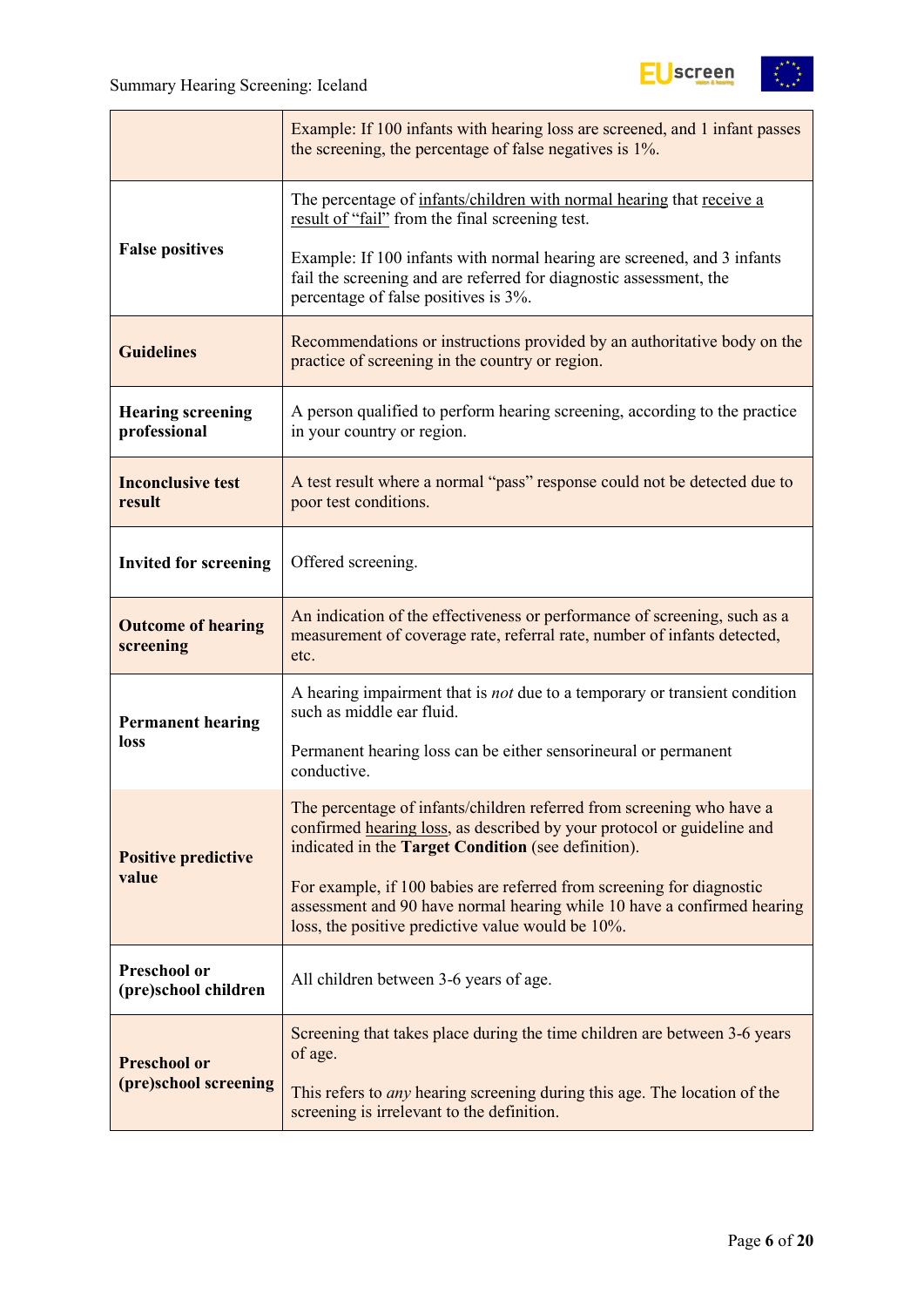

|                                          | Example: If 100 infants with hearing loss are screened, and 1 infant passes<br>the screening, the percentage of false negatives is 1%.                                                                 |
|------------------------------------------|--------------------------------------------------------------------------------------------------------------------------------------------------------------------------------------------------------|
|                                          | The percentage of infants/children with normal hearing that receive a<br>result of "fail" from the final screening test.                                                                               |
| <b>False positives</b>                   | Example: If 100 infants with normal hearing are screened, and 3 infants<br>fail the screening and are referred for diagnostic assessment, the<br>percentage of false positives is 3%.                  |
| <b>Guidelines</b>                        | Recommendations or instructions provided by an authoritative body on the<br>practice of screening in the country or region.                                                                            |
| <b>Hearing screening</b><br>professional | A person qualified to perform hearing screening, according to the practice<br>in your country or region.                                                                                               |
| <b>Inconclusive test</b><br>result       | A test result where a normal "pass" response could not be detected due to<br>poor test conditions.                                                                                                     |
| <b>Invited for screening</b>             | Offered screening.                                                                                                                                                                                     |
| <b>Outcome of hearing</b><br>screening   | An indication of the effectiveness or performance of screening, such as a<br>measurement of coverage rate, referral rate, number of infants detected,<br>etc.                                          |
| <b>Permanent hearing</b>                 | A hearing impairment that is <i>not</i> due to a temporary or transient condition<br>such as middle ear fluid.                                                                                         |
| loss                                     | Permanent hearing loss can be either sensorineural or permanent<br>conductive.                                                                                                                         |
| <b>Positive predictive</b>               | The percentage of infants/children referred from screening who have a<br>confirmed hearing loss, as described by your protocol or guideline and<br>indicated in the Target Condition (see definition). |
| value                                    | For example, if 100 babies are referred from screening for diagnostic<br>assessment and 90 have normal hearing while 10 have a confirmed hearing<br>loss, the positive predictive value would be 10%.  |
| Preschool or<br>(pre)school children     | All children between 3-6 years of age.                                                                                                                                                                 |
| <b>Preschool or</b>                      | Screening that takes place during the time children are between 3-6 years<br>of age.                                                                                                                   |
| (pre)school screening                    | This refers to <i>any</i> hearing screening during this age. The location of the<br>screening is irrelevant to the definition.                                                                         |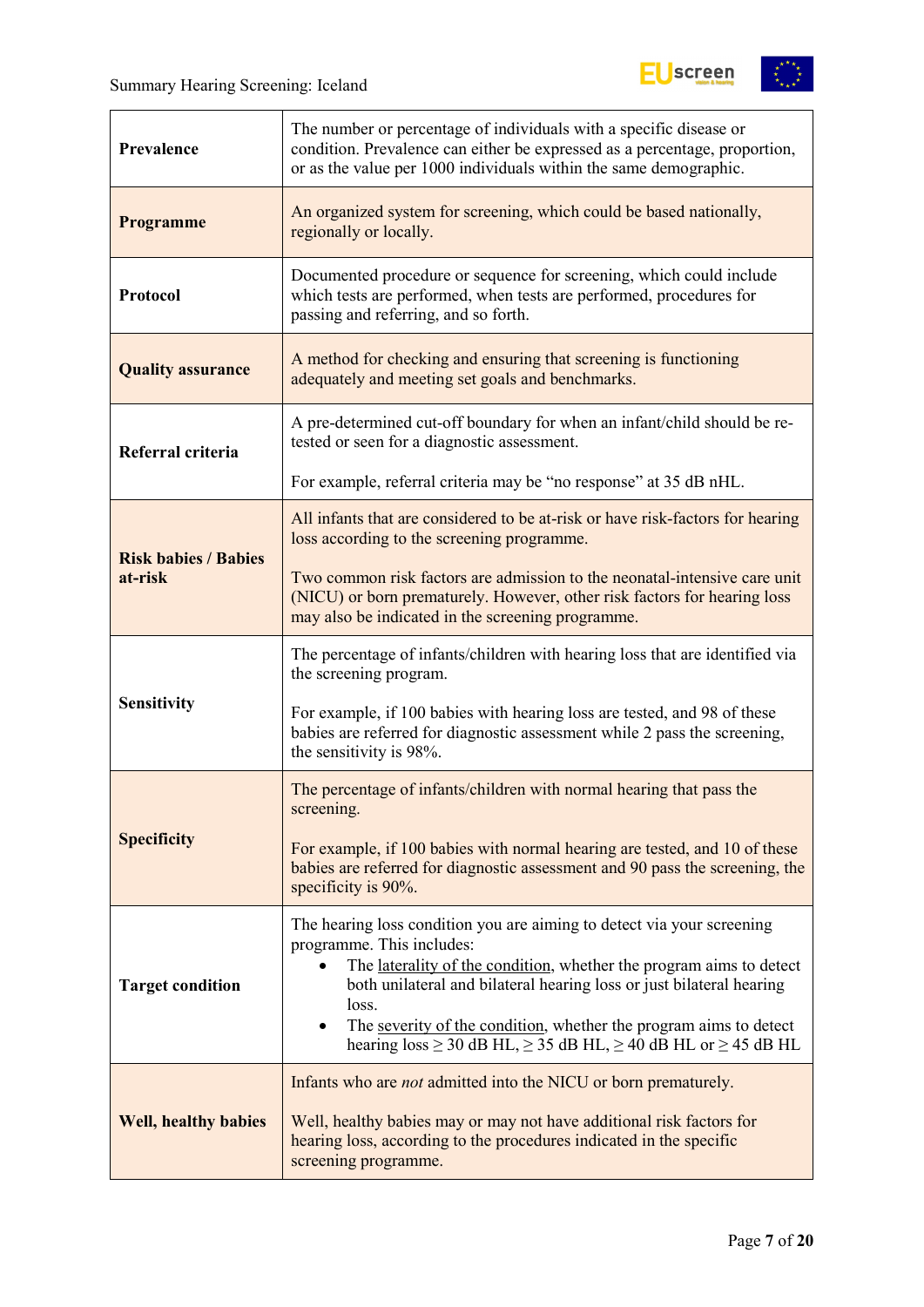

| The number or percentage of individuals with a specific disease or<br>condition. Prevalence can either be expressed as a percentage, proportion,<br>Prevalence<br>or as the value per 1000 individuals within the same demographic. |                                                                                                                                                                                                                                                                                                                                                                                                                                |  |  |  |
|-------------------------------------------------------------------------------------------------------------------------------------------------------------------------------------------------------------------------------------|--------------------------------------------------------------------------------------------------------------------------------------------------------------------------------------------------------------------------------------------------------------------------------------------------------------------------------------------------------------------------------------------------------------------------------|--|--|--|
| <b>Programme</b>                                                                                                                                                                                                                    | An organized system for screening, which could be based nationally,<br>regionally or locally.                                                                                                                                                                                                                                                                                                                                  |  |  |  |
| Protocol                                                                                                                                                                                                                            | Documented procedure or sequence for screening, which could include<br>which tests are performed, when tests are performed, procedures for<br>passing and referring, and so forth.                                                                                                                                                                                                                                             |  |  |  |
| <b>Quality assurance</b>                                                                                                                                                                                                            | A method for checking and ensuring that screening is functioning<br>adequately and meeting set goals and benchmarks.                                                                                                                                                                                                                                                                                                           |  |  |  |
| Referral criteria                                                                                                                                                                                                                   | A pre-determined cut-off boundary for when an infant/child should be re-<br>tested or seen for a diagnostic assessment.                                                                                                                                                                                                                                                                                                        |  |  |  |
|                                                                                                                                                                                                                                     | For example, referral criteria may be "no response" at 35 dB nHL.                                                                                                                                                                                                                                                                                                                                                              |  |  |  |
| <b>Risk babies / Babies</b>                                                                                                                                                                                                         | All infants that are considered to be at-risk or have risk-factors for hearing<br>loss according to the screening programme.                                                                                                                                                                                                                                                                                                   |  |  |  |
| at-risk                                                                                                                                                                                                                             | Two common risk factors are admission to the neonatal-intensive care unit<br>(NICU) or born prematurely. However, other risk factors for hearing loss<br>may also be indicated in the screening programme.                                                                                                                                                                                                                     |  |  |  |
|                                                                                                                                                                                                                                     | The percentage of infants/children with hearing loss that are identified via<br>the screening program.                                                                                                                                                                                                                                                                                                                         |  |  |  |
| <b>Sensitivity</b>                                                                                                                                                                                                                  | For example, if 100 babies with hearing loss are tested, and 98 of these<br>babies are referred for diagnostic assessment while 2 pass the screening,<br>the sensitivity is 98%.                                                                                                                                                                                                                                               |  |  |  |
|                                                                                                                                                                                                                                     | The percentage of infants/children with normal hearing that pass the<br>screening.                                                                                                                                                                                                                                                                                                                                             |  |  |  |
| <b>Specificity</b>                                                                                                                                                                                                                  | For example, if 100 babies with normal hearing are tested, and 10 of these<br>babies are referred for diagnostic assessment and 90 pass the screening, the<br>specificity is 90%.                                                                                                                                                                                                                                              |  |  |  |
| <b>Target condition</b>                                                                                                                                                                                                             | The hearing loss condition you are aiming to detect via your screening<br>programme. This includes:<br>The laterality of the condition, whether the program aims to detect<br>both unilateral and bilateral hearing loss or just bilateral hearing<br>loss.<br>The severity of the condition, whether the program aims to detect<br>$\bullet$<br>hearing $loss \ge 30$ dB HL, $\ge 35$ dB HL, $\ge 40$ dB HL or $\ge 45$ dB HL |  |  |  |
| <b>Well, healthy babies</b>                                                                                                                                                                                                         | Infants who are <i>not</i> admitted into the NICU or born prematurely.<br>Well, healthy babies may or may not have additional risk factors for<br>hearing loss, according to the procedures indicated in the specific<br>screening programme.                                                                                                                                                                                  |  |  |  |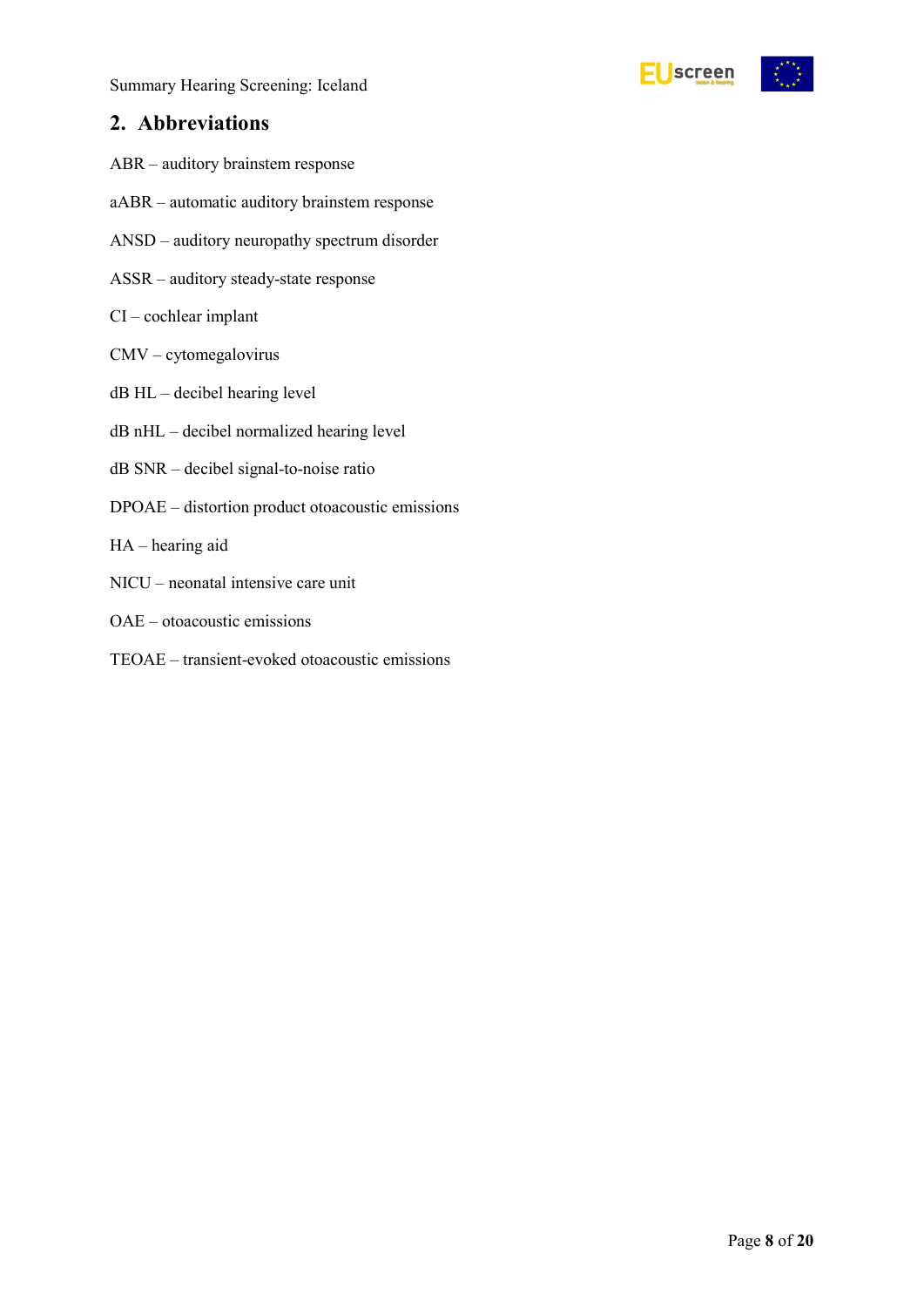

### <span id="page-7-0"></span>**2. Abbreviations**

- ABR auditory brainstem response
- aABR automatic auditory brainstem response
- ANSD auditory neuropathy spectrum disorder
- ASSR auditory steady-state response
- CI cochlear implant
- CMV cytomegalovirus
- dB HL decibel hearing level
- dB nHL decibel normalized hearing level
- dB SNR decibel signal-to-noise ratio
- DPOAE distortion product otoacoustic emissions
- HA hearing aid
- NICU neonatal intensive care unit
- OAE otoacoustic emissions
- TEOAE transient-evoked otoacoustic emissions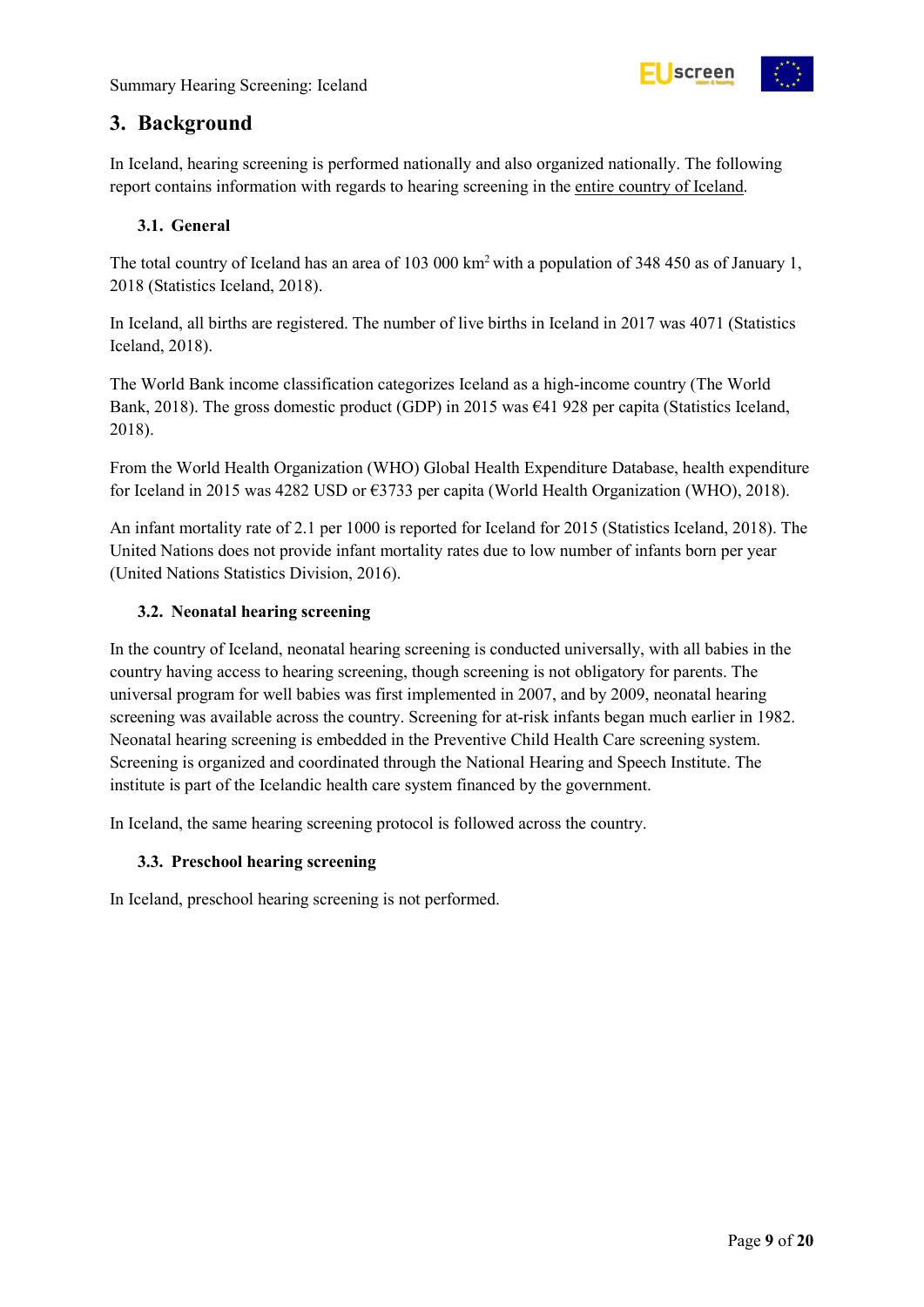

## <span id="page-8-0"></span>**3. Background**

In Iceland, hearing screening is performed nationally and also organized nationally. The following report contains information with regards to hearing screening in the entire country of Iceland.

#### <span id="page-8-1"></span>**3.1. General**

The total country of Iceland has an area of 103 000 km<sup>2</sup> with a population of 348 450 as of January 1, 2018 (Statistics Iceland, 2018).

In Iceland, all births are registered. The number of live births in Iceland in 2017 was 4071 (Statistics Iceland, 2018).

The World Bank income classification categorizes Iceland as a high-income country (The World Bank, 2018). The gross domestic product (GDP) in 2015 was €41 928 per capita (Statistics Iceland, 2018).

From the World Health Organization (WHO) Global Health Expenditure Database, health expenditure for Iceland in 2015 was 4282 USD or €3733 per capita (World Health Organization (WHO), 2018).

An infant mortality rate of 2.1 per 1000 is reported for Iceland for 2015 (Statistics Iceland, 2018). The United Nations does not provide infant mortality rates due to low number of infants born per year (United Nations Statistics Division, 2016).

#### <span id="page-8-2"></span>**3.2. Neonatal hearing screening**

In the country of Iceland, neonatal hearing screening is conducted universally, with all babies in the country having access to hearing screening, though screening is not obligatory for parents. The universal program for well babies was first implemented in 2007, and by 2009, neonatal hearing screening was available across the country. Screening for at-risk infants began much earlier in 1982. Neonatal hearing screening is embedded in the Preventive Child Health Care screening system. Screening is organized and coordinated through the National Hearing and Speech Institute. The institute is part of the Icelandic health care system financed by the government.

In Iceland, the same hearing screening protocol is followed across the country.

#### <span id="page-8-3"></span>**3.3. Preschool hearing screening**

In Iceland, preschool hearing screening is not performed.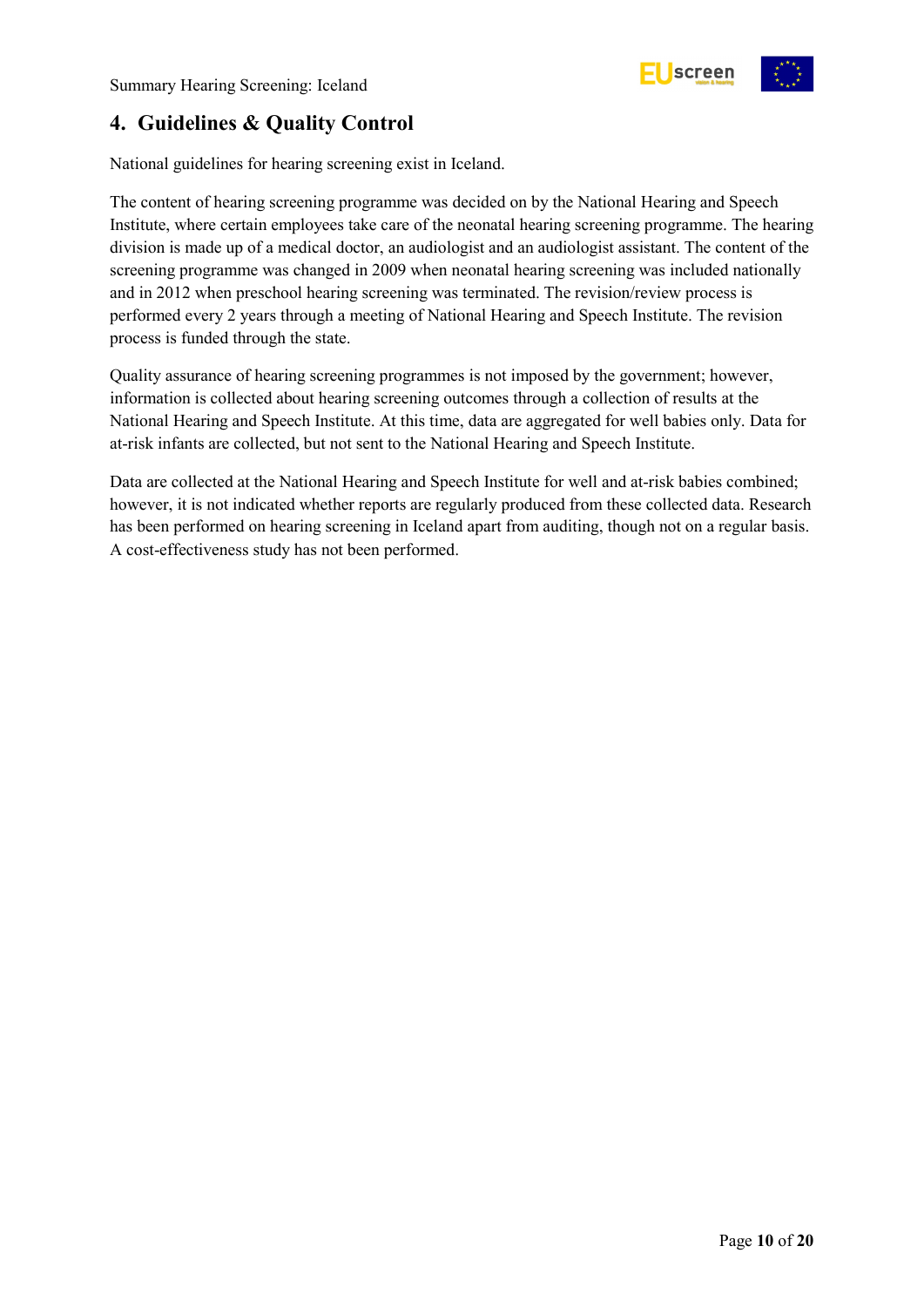

## <span id="page-9-0"></span>**4. Guidelines & Quality Control**

National guidelines for hearing screening exist in Iceland.

The content of hearing screening programme was decided on by the National Hearing and Speech Institute, where certain employees take care of the neonatal hearing screening programme. The hearing division is made up of a medical doctor, an audiologist and an audiologist assistant. The content of the screening programme was changed in 2009 when neonatal hearing screening was included nationally and in 2012 when preschool hearing screening was terminated. The revision/review process is performed every 2 years through a meeting of National Hearing and Speech Institute. The revision process is funded through the state.

Quality assurance of hearing screening programmes is not imposed by the government; however, information is collected about hearing screening outcomes through a collection of results at the National Hearing and Speech Institute. At this time, data are aggregated for well babies only. Data for at-risk infants are collected, but not sent to the National Hearing and Speech Institute.

Data are collected at the National Hearing and Speech Institute for well and at-risk babies combined; however, it is not indicated whether reports are regularly produced from these collected data. Research has been performed on hearing screening in Iceland apart from auditing, though not on a regular basis. A cost-effectiveness study has not been performed.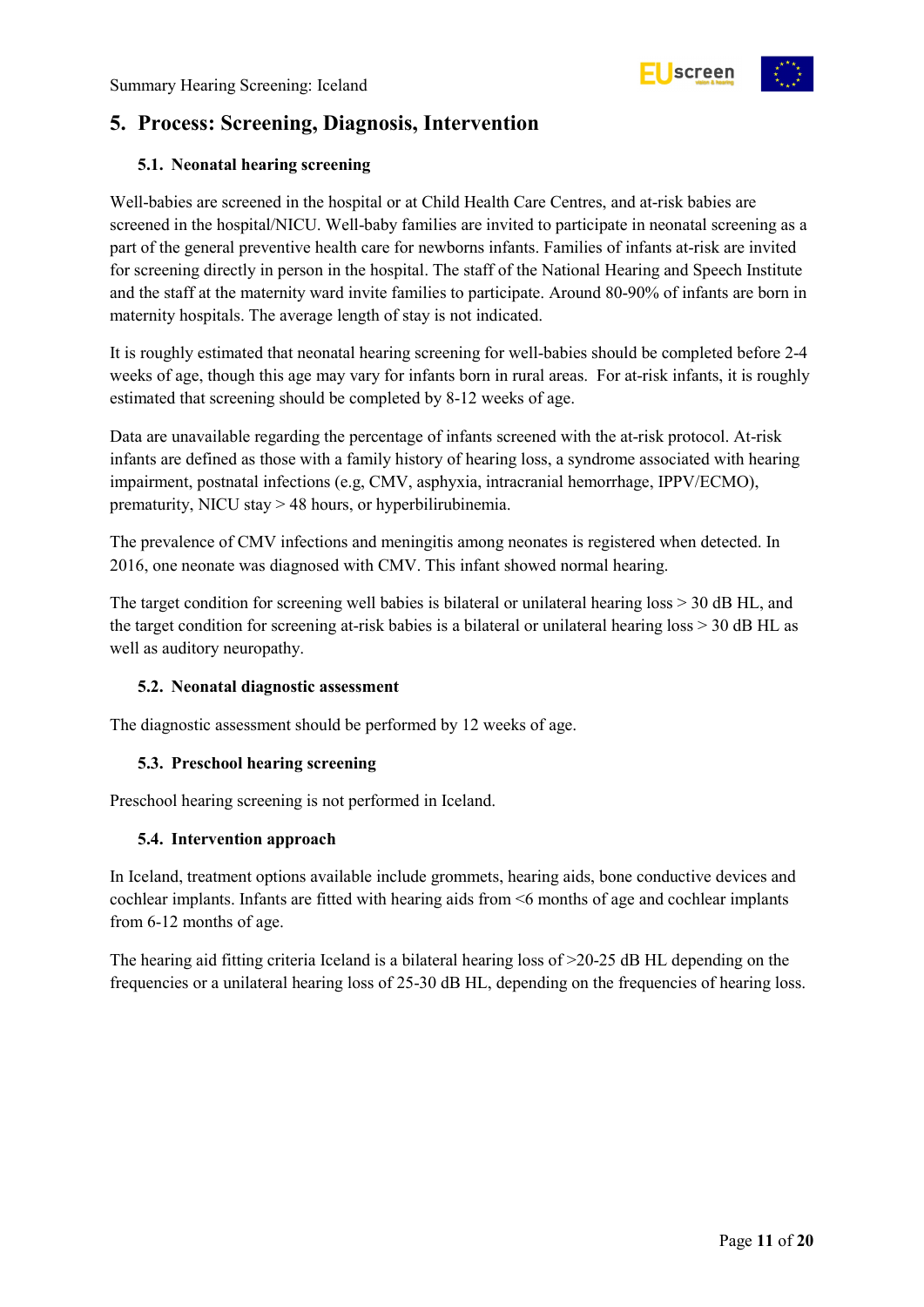## <span id="page-10-0"></span>**5. Process: Screening, Diagnosis, Intervention**

#### <span id="page-10-1"></span>**5.1. Neonatal hearing screening**

Well-babies are screened in the hospital or at Child Health Care Centres, and at-risk babies are screened in the hospital/NICU. Well-baby families are invited to participate in neonatal screening as a part of the general preventive health care for newborns infants. Families of infants at-risk are invited for screening directly in person in the hospital. The staff of the National Hearing and Speech Institute and the staff at the maternity ward invite families to participate. Around 80-90% of infants are born in maternity hospitals. The average length of stay is not indicated.

It is roughly estimated that neonatal hearing screening for well-babies should be completed before 2-4 weeks of age, though this age may vary for infants born in rural areas. For at-risk infants, it is roughly estimated that screening should be completed by 8-12 weeks of age.

Data are unavailable regarding the percentage of infants screened with the at-risk protocol. At-risk infants are defined as those with a family history of hearing loss, a syndrome associated with hearing impairment, postnatal infections (e.g, CMV, asphyxia, intracranial hemorrhage, IPPV/ECMO), prematurity, NICU stay > 48 hours, or hyperbilirubinemia.

The prevalence of CMV infections and meningitis among neonates is registered when detected. In 2016, one neonate was diagnosed with CMV. This infant showed normal hearing.

The target condition for screening well babies is bilateral or unilateral hearing loss  $> 30$  dB HL, and the target condition for screening at-risk babies is a bilateral or unilateral hearing loss > 30 dB HL as well as auditory neuropathy.

#### <span id="page-10-2"></span>**5.2. Neonatal diagnostic assessment**

The diagnostic assessment should be performed by 12 weeks of age.

#### <span id="page-10-3"></span>**5.3. Preschool hearing screening**

Preschool hearing screening is not performed in Iceland.

#### <span id="page-10-4"></span>**5.4. Intervention approach**

In Iceland, treatment options available include grommets, hearing aids, bone conductive devices and cochlear implants. Infants are fitted with hearing aids from <6 months of age and cochlear implants from 6-12 months of age.

The hearing aid fitting criteria Iceland is a bilateral hearing loss of  $>20-25$  dB HL depending on the frequencies or a unilateral hearing loss of 25-30 dB HL, depending on the frequencies of hearing loss.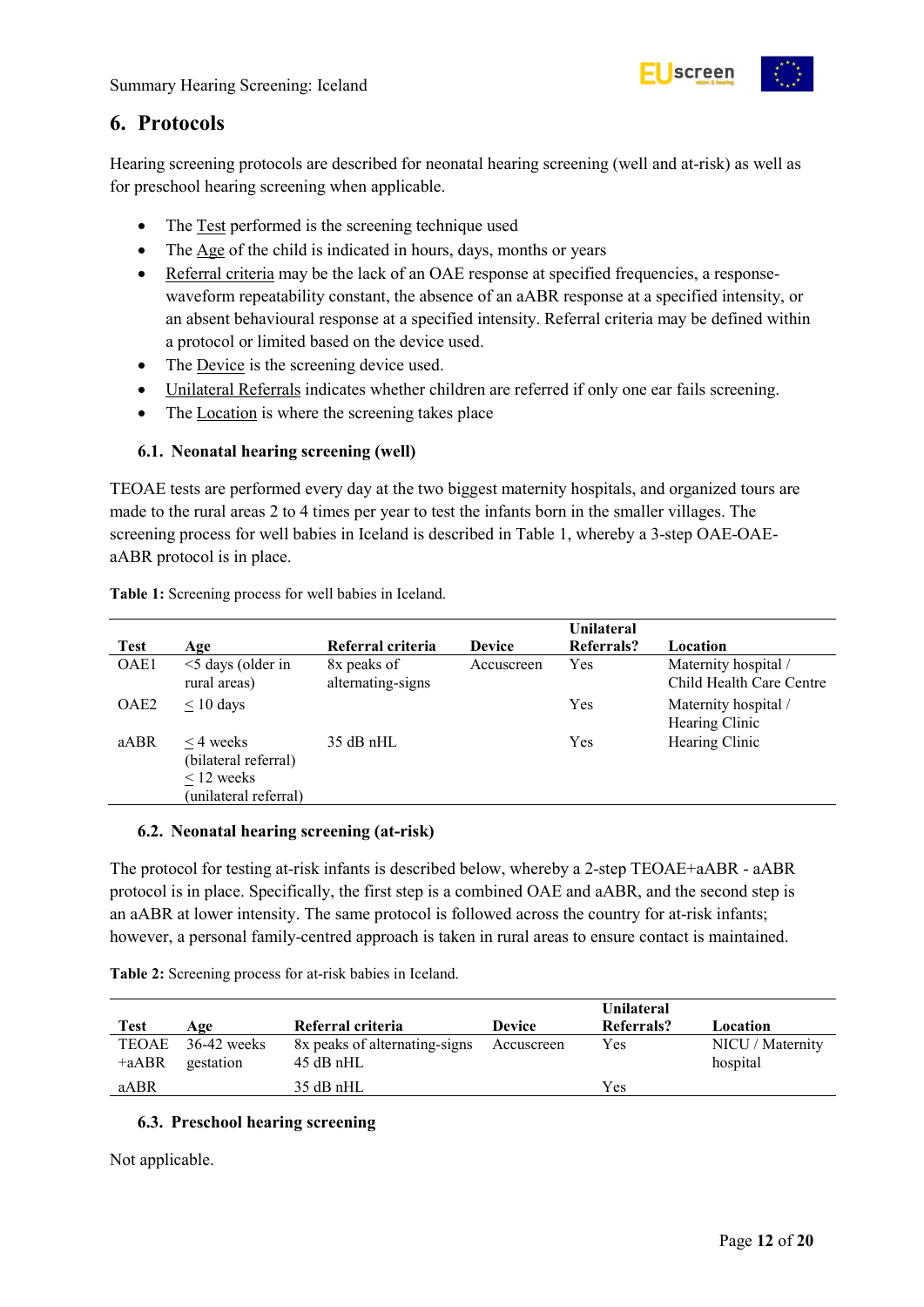

## <span id="page-11-0"></span>**6. Protocols**

Hearing screening protocols are described for neonatal hearing screening (well and at-risk) as well as for preschool hearing screening when applicable.

- The Test performed is the screening technique used
- The Age of the child is indicated in hours, days, months or years
- Referral criteria may be the lack of an OAE response at specified frequencies, a responsewaveform repeatability constant, the absence of an aABR response at a specified intensity, or an absent behavioural response at a specified intensity. Referral criteria may be defined within a protocol or limited based on the device used.
- The <u>Device</u> is the screening device used.
- Unilateral Referrals indicates whether children are referred if only one ear fails screening.
- The <u>Location</u> is where the screening takes place

#### <span id="page-11-1"></span>**6.1. Neonatal hearing screening (well)**

TEOAE tests are performed every day at the two biggest maternity hospitals, and organized tours are made to the rural areas 2 to 4 times per year to test the infants born in the smaller villages. The screening process for well babies in Iceland is described in Table 1, whereby a 3-step OAE-OAEaABR protocol is in place.

| <b>Test</b>      | Age                                                                                | Referral criteria                | <b>Device</b> | Unilateral<br>Referrals? | Location                                         |
|------------------|------------------------------------------------------------------------------------|----------------------------------|---------------|--------------------------|--------------------------------------------------|
| OAE1             | $\leq$ days (older in<br>rural areas)                                              | 8x peaks of<br>alternating-signs | Accuscreen    | Yes                      | Maternity hospital /<br>Child Health Care Centre |
| OAE <sub>2</sub> | $\leq 10$ days                                                                     |                                  |               | Yes                      | Maternity hospital /<br>Hearing Clinic           |
| aABR             | $\leq$ 4 weeks<br>(bilateral referral)<br>$\leq$ 12 weeks<br>(unilateral referral) | $35$ dB nHL                      |               | Yes                      | Hearing Clinic                                   |

<span id="page-11-4"></span>**Table 1:** Screening process for well babies in Iceland.

#### <span id="page-11-2"></span>**6.2. Neonatal hearing screening (at-risk)**

The protocol for testing at-risk infants is described below, whereby a 2-step TEOAE+aABR - aABR protocol is in place. Specifically, the first step is a combined OAE and aABR, and the second step is an aABR at lower intensity. The same protocol is followed across the country for at-risk infants; however, a personal family-centred approach is taken in rural areas to ensure contact is maintained.

<span id="page-11-5"></span>

| Table 2: Screening process for at-risk babies in Iceland. |  |
|-----------------------------------------------------------|--|
|-----------------------------------------------------------|--|

|                  |                            |                                              |               | <b>Unilateral</b> |                              |
|------------------|----------------------------|----------------------------------------------|---------------|-------------------|------------------------------|
| <b>Test</b>      | Age                        | Referral criteria                            | <b>Device</b> | Referrals?        | Location                     |
| TEOAE<br>$+AABR$ | $36-42$ weeks<br>gestation | 8x peaks of alternating-signs<br>$45$ dB nHL | Accuscreen    | Yes               | NICU / Maternity<br>hospital |
| aABR             |                            | $35$ dB nHL                                  |               | Yes               |                              |

#### <span id="page-11-3"></span>**6.3. Preschool hearing screening**

Not applicable.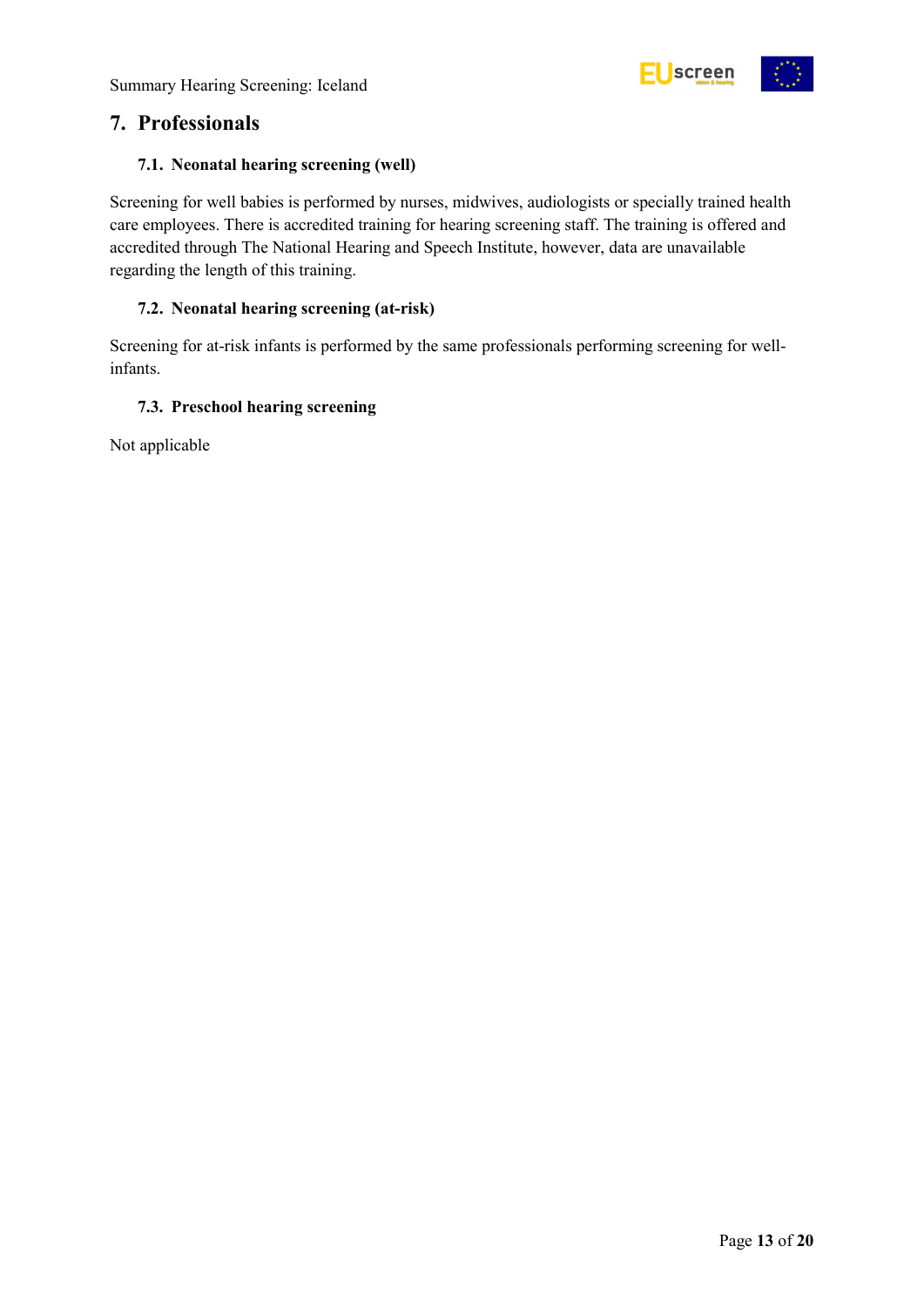

## <span id="page-12-0"></span>**7. Professionals**

#### <span id="page-12-1"></span>**7.1. Neonatal hearing screening (well)**

Screening for well babies is performed by nurses, midwives, audiologists or specially trained health care employees. There is accredited training for hearing screening staff. The training is offered and accredited through The National Hearing and Speech Institute, however, data are unavailable regarding the length of this training.

#### <span id="page-12-2"></span>**7.2. Neonatal hearing screening (at-risk)**

Screening for at-risk infants is performed by the same professionals performing screening for wellinfants.

#### <span id="page-12-3"></span>**7.3. Preschool hearing screening**

Not applicable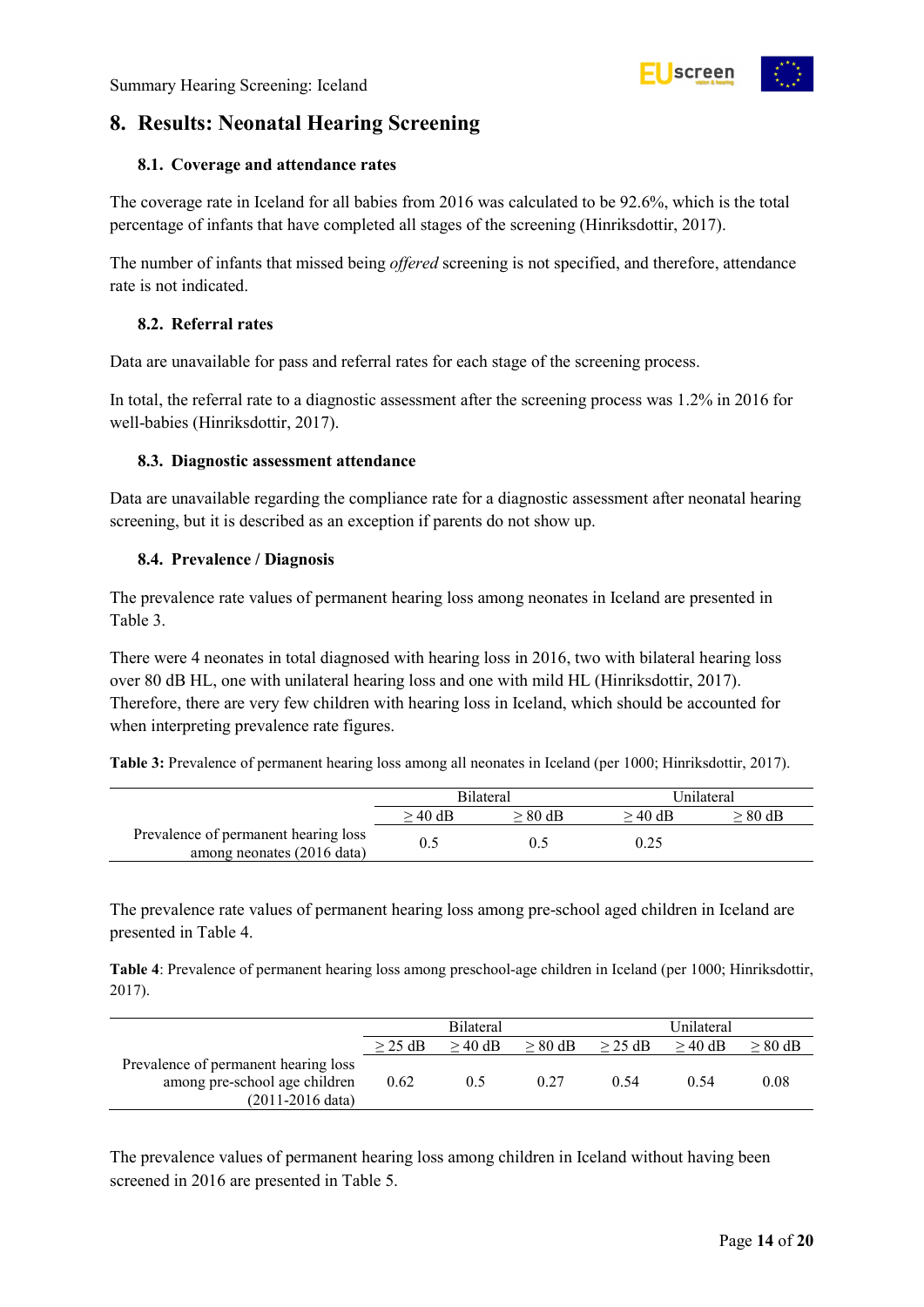

## <span id="page-13-0"></span>**8. Results: Neonatal Hearing Screening**

#### <span id="page-13-1"></span>**8.1. Coverage and attendance rates**

The coverage rate in Iceland for all babies from 2016 was calculated to be 92.6%, which is the total percentage of infants that have completed all stages of the screening (Hinriksdottir, 2017).

The number of infants that missed being *offered* screening is not specified, and therefore, attendance rate is not indicated.

#### <span id="page-13-2"></span>**8.2. Referral rates**

Data are unavailable for pass and referral rates for each stage of the screening process.

In total, the referral rate to a diagnostic assessment after the screening process was 1.2% in 2016 for well-babies (Hinriksdottir, 2017).

#### <span id="page-13-3"></span>**8.3. Diagnostic assessment attendance**

Data are unavailable regarding the compliance rate for a diagnostic assessment after neonatal hearing screening, but it is described as an exception if parents do not show up.

#### <span id="page-13-4"></span>**8.4. Prevalence / Diagnosis**

The prevalence rate values of permanent hearing loss among neonates in Iceland are presented in [Table 3.](#page-13-5)

There were 4 neonates in total diagnosed with hearing loss in 2016, two with bilateral hearing loss over 80 dB HL, one with unilateral hearing loss and one with mild HL (Hinriksdottir, 2017). Therefore, there are very few children with hearing loss in Iceland, which should be accounted for when interpreting prevalence rate figures.

<span id="page-13-5"></span>**Table 3:** Prevalence of permanent hearing loss among all neonates in Iceland (per 1000; Hinriksdottir, 2017).

|                                                                    | <b>Bilateral</b> |           | Unilateral |         |  |
|--------------------------------------------------------------------|------------------|-----------|------------|---------|--|
|                                                                    | > 40 dB          | $> 80$ dB | > 40 dB    | > 80 dB |  |
| Prevalence of permanent hearing loss<br>among neonates (2016 data) |                  |           | 0.25       |         |  |

The prevalence rate values of permanent hearing loss among pre-school aged children in Iceland are presented in [Table 4.](#page-13-6)

<span id="page-13-6"></span>**Table 4**: Prevalence of permanent hearing loss among preschool-age children in Iceland (per 1000; Hinriksdottir, 2017).

|                                                                                                     | <b>Bilateral</b>                    |     |      | Unilateral |           |           |
|-----------------------------------------------------------------------------------------------------|-------------------------------------|-----|------|------------|-----------|-----------|
|                                                                                                     | $>$ 40 dB<br>$> 80$ dB<br>$>$ 25 dB |     |      | $>$ 25 dB  | $> 40$ dB | $> 80$ dB |
| Prevalence of permanent hearing loss<br>among pre-school age children<br>$(2011-2016 \text{ data})$ | 0.62                                | 0.5 | 0.27 | 0.54       | 0.54      | 0.08      |

The prevalence values of permanent hearing loss among children in Iceland without having been screened in 2016 are presented in Table 5.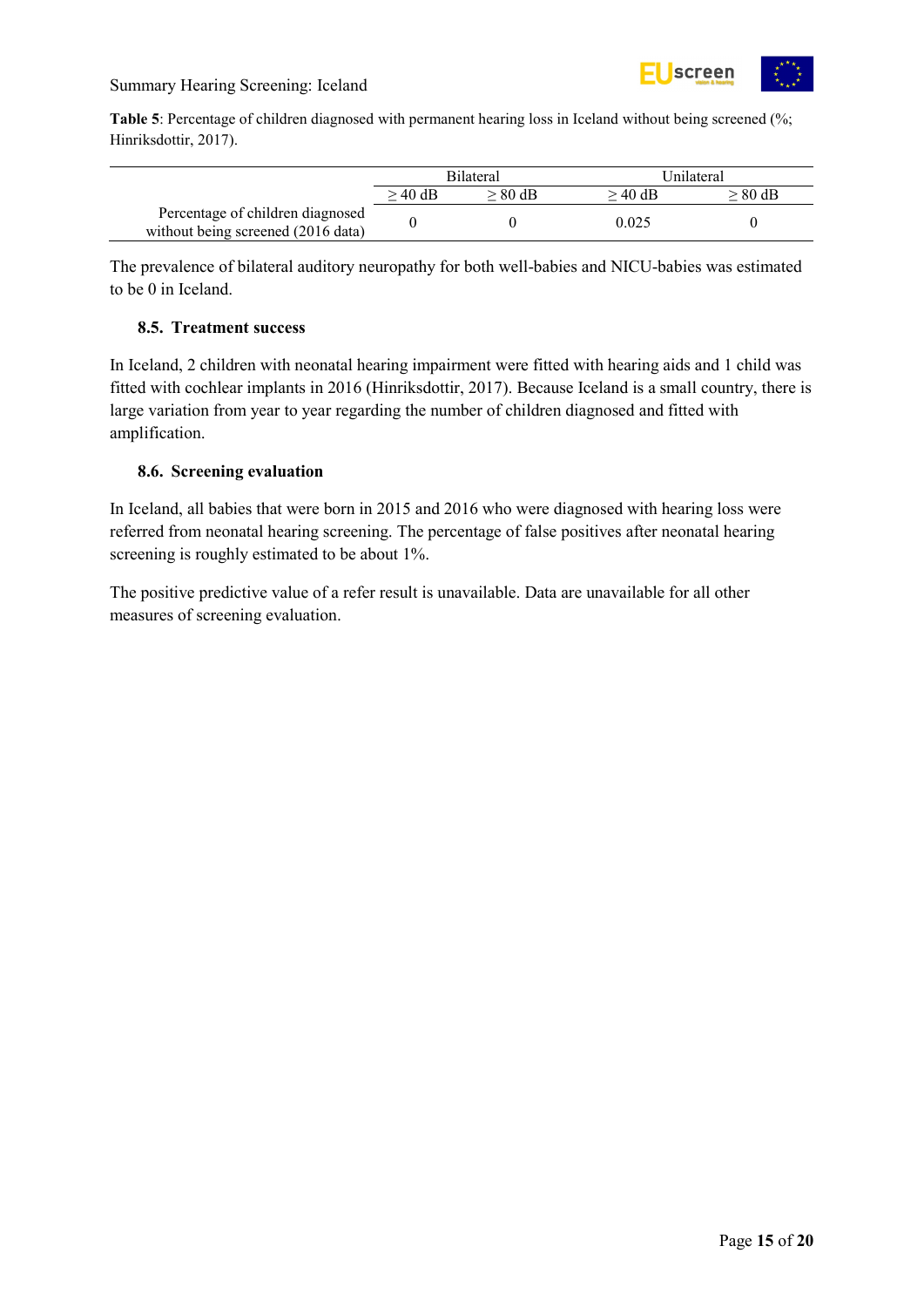

<span id="page-14-2"></span>**Table 5**: Percentage of children diagnosed with permanent hearing loss in Iceland without being screened (%; Hinriksdottir, 2017).

|                                                                        | <b>Bilateral</b> |           | Unilateral |           |
|------------------------------------------------------------------------|------------------|-----------|------------|-----------|
|                                                                        | $>$ 40 dB        | $> 80$ dB | $>40$ dB   | $> 80$ dB |
| Percentage of children diagnosed<br>without being screened (2016 data) |                  |           | 0.025      |           |

The prevalence of bilateral auditory neuropathy for both well-babies and NICU-babies was estimated to be 0 in Iceland.

#### <span id="page-14-0"></span>**8.5. Treatment success**

In Iceland, 2 children with neonatal hearing impairment were fitted with hearing aids and 1 child was fitted with cochlear implants in 2016 (Hinriksdottir, 2017). Because Iceland is a small country, there is large variation from year to year regarding the number of children diagnosed and fitted with amplification.

#### <span id="page-14-1"></span>**8.6. Screening evaluation**

In Iceland, all babies that were born in 2015 and 2016 who were diagnosed with hearing loss were referred from neonatal hearing screening. The percentage of false positives after neonatal hearing screening is roughly estimated to be about 1%.

The positive predictive value of a refer result is unavailable. Data are unavailable for all other measures of screening evaluation.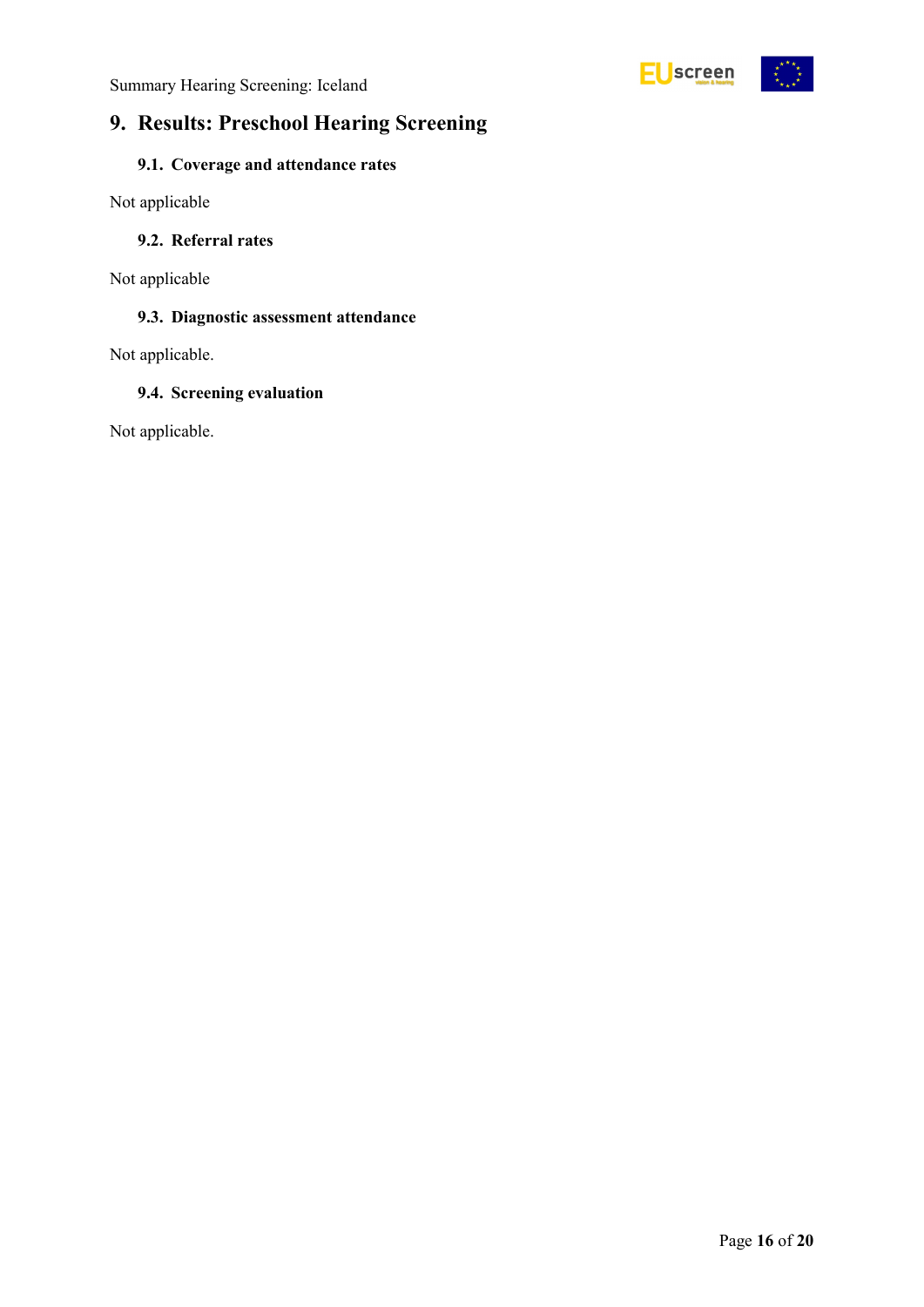

## <span id="page-15-0"></span>**9. Results: Preschool Hearing Screening**

### <span id="page-15-1"></span>**9.1. Coverage and attendance rates**

Not applicable

#### <span id="page-15-2"></span>**9.2. Referral rates**

Not applicable

#### <span id="page-15-3"></span>**9.3. Diagnostic assessment attendance**

Not applicable.

#### <span id="page-15-4"></span>**9.4. Screening evaluation**

Not applicable.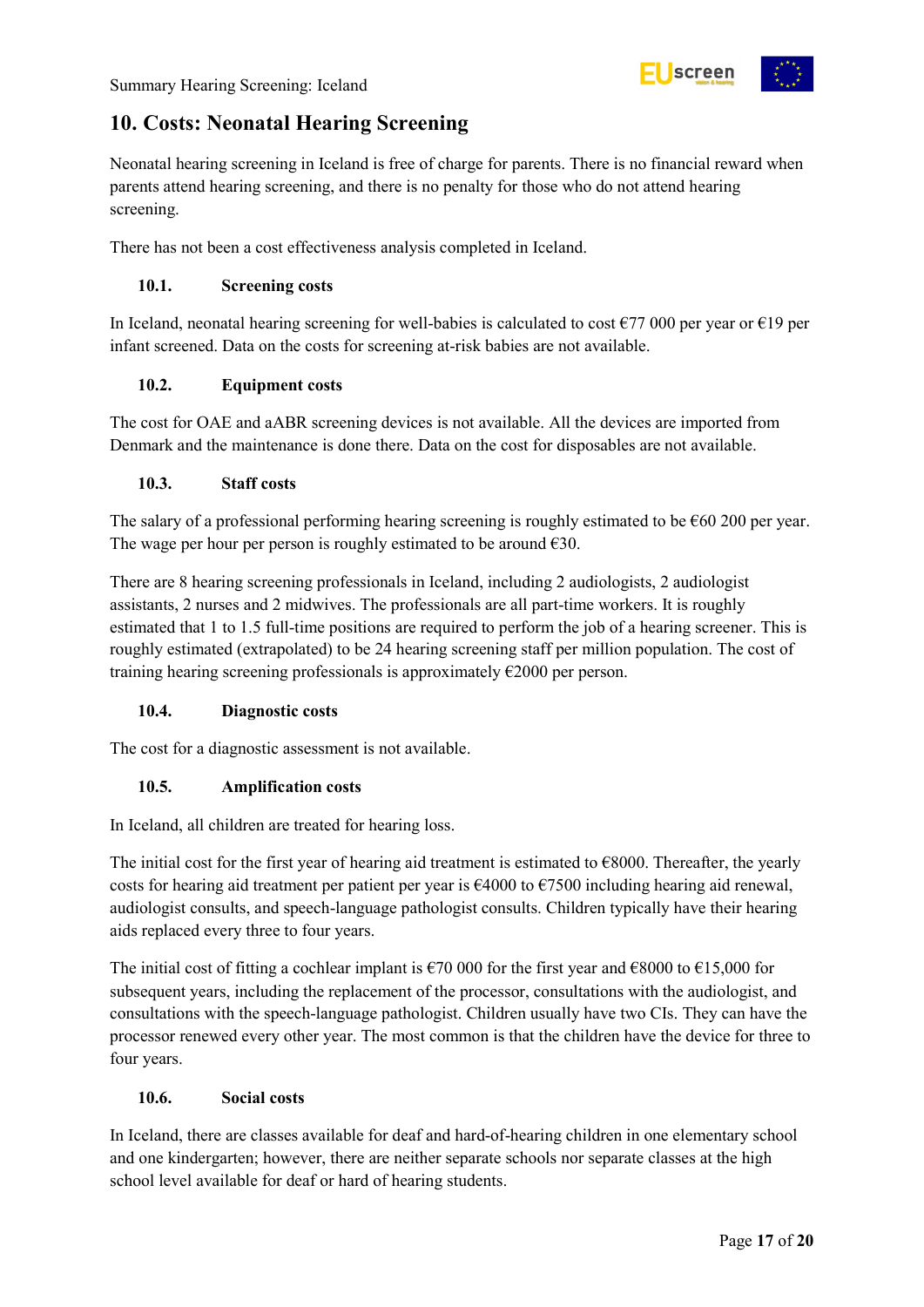

## <span id="page-16-0"></span>**10. Costs: Neonatal Hearing Screening**

Neonatal hearing screening in Iceland is free of charge for parents. There is no financial reward when parents attend hearing screening, and there is no penalty for those who do not attend hearing screening.

There has not been a cost effectiveness analysis completed in Iceland.

#### <span id="page-16-1"></span>**10.1. Screening costs**

In Iceland, neonatal hearing screening for well-babies is calculated to cost  $\epsilon$ 77 000 per year or  $\epsilon$ 19 per infant screened. Data on the costs for screening at-risk babies are not available.

#### <span id="page-16-2"></span>**10.2. Equipment costs**

The cost for OAE and aABR screening devices is not available. All the devices are imported from Denmark and the maintenance is done there. Data on the cost for disposables are not available.

#### <span id="page-16-3"></span>**10.3. Staff costs**

The salary of a professional performing hearing screening is roughly estimated to be  $\epsilon$ 60 200 per year. The wage per hour per person is roughly estimated to be around  $\epsilon$ 30.

There are 8 hearing screening professionals in Iceland, including 2 audiologists, 2 audiologist assistants, 2 nurses and 2 midwives. The professionals are all part-time workers. It is roughly estimated that 1 to 1.5 full-time positions are required to perform the job of a hearing screener. This is roughly estimated (extrapolated) to be 24 hearing screening staff per million population. The cost of training hearing screening professionals is approximately  $\epsilon$ 2000 per person.

#### <span id="page-16-4"></span>**10.4. Diagnostic costs**

The cost for a diagnostic assessment is not available.

#### <span id="page-16-5"></span>**10.5. Amplification costs**

In Iceland, all children are treated for hearing loss.

The initial cost for the first year of hearing aid treatment is estimated to  $\epsilon$ 8000. Thereafter, the yearly costs for hearing aid treatment per patient per year is €4000 to €7500 including hearing aid renewal, audiologist consults, and speech-language pathologist consults. Children typically have their hearing aids replaced every three to four years.

The initial cost of fitting a cochlear implant is  $\epsilon$ 70 000 for the first year and  $\epsilon$ 8000 to  $\epsilon$ 15,000 for subsequent years, including the replacement of the processor, consultations with the audiologist, and consultations with the speech-language pathologist. Children usually have two CIs. They can have the processor renewed every other year. The most common is that the children have the device for three to four years.

#### <span id="page-16-6"></span>**10.6. Social costs**

In Iceland, there are classes available for deaf and hard-of-hearing children in one elementary school and one kindergarten; however, there are neither separate schools nor separate classes at the high school level available for deaf or hard of hearing students.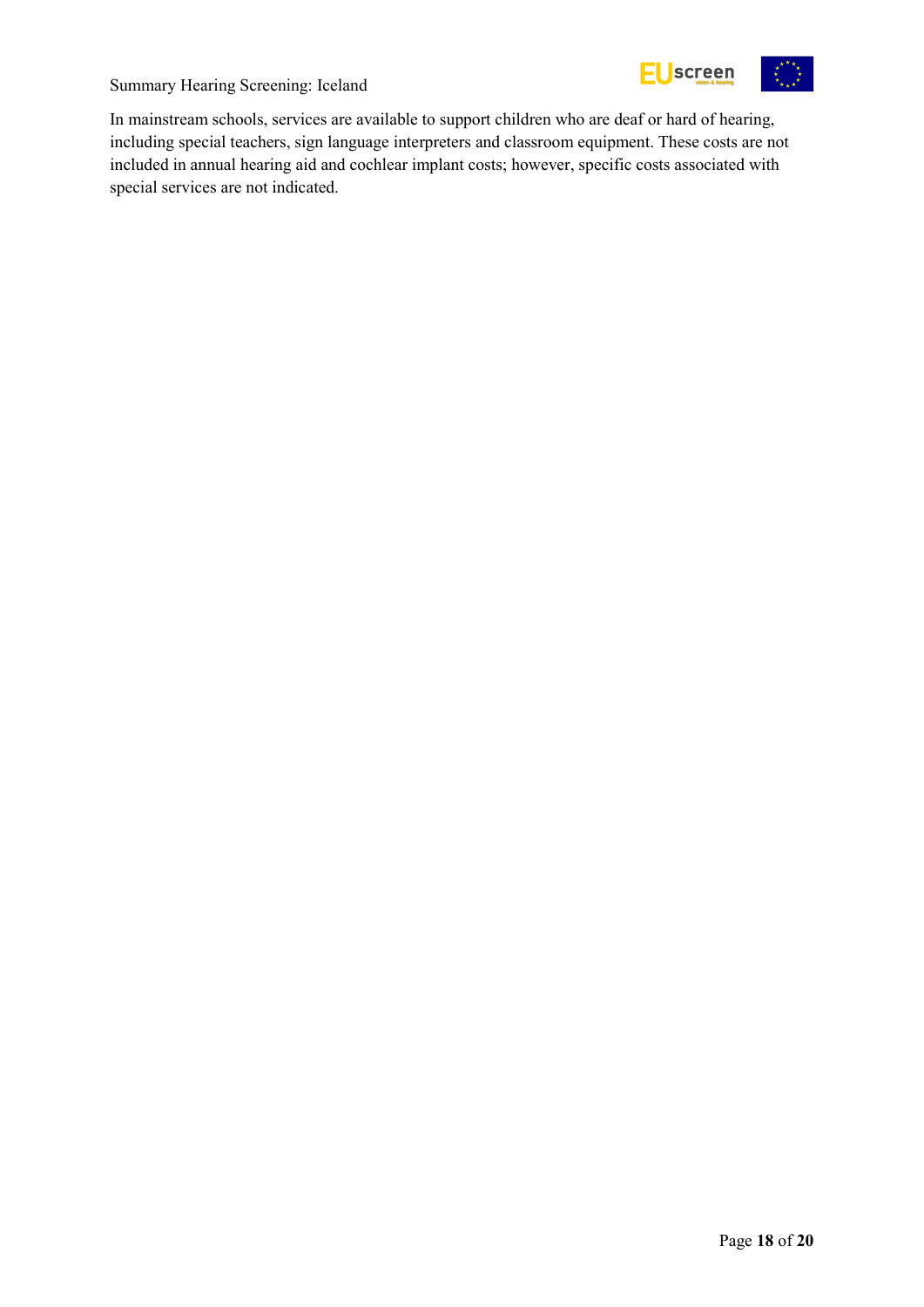



In mainstream schools, services are available to support children who are deaf or hard of hearing, including special teachers, sign language interpreters and classroom equipment. These costs are not included in annual hearing aid and cochlear implant costs; however, specific costs associated with special services are not indicated.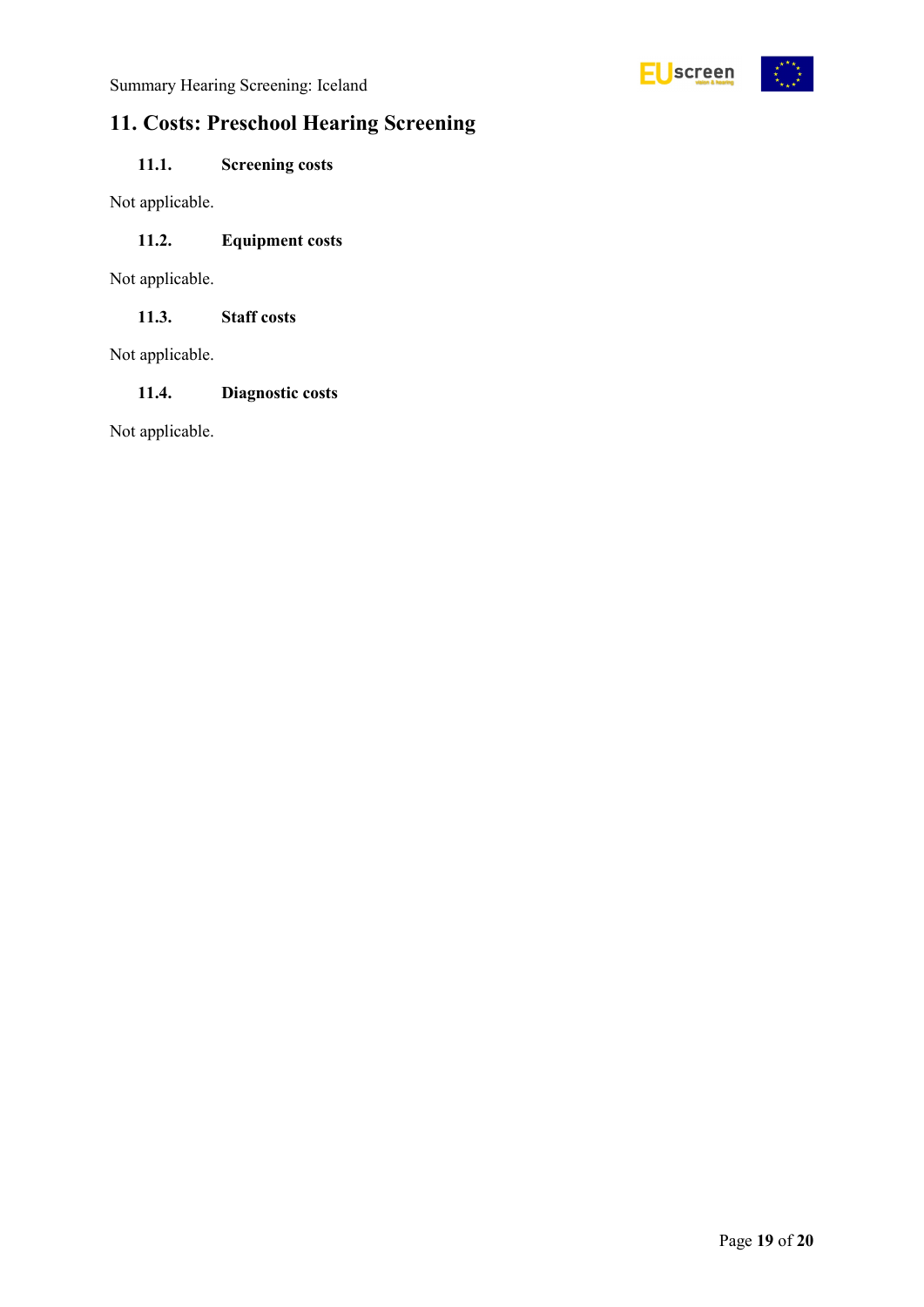

## <span id="page-18-0"></span>**11. Costs: Preschool Hearing Screening**

### <span id="page-18-1"></span>**11.1. Screening costs**

Not applicable.

#### <span id="page-18-2"></span>**11.2. Equipment costs**

Not applicable.

<span id="page-18-3"></span>**11.3. Staff costs**

Not applicable.

#### <span id="page-18-4"></span>**11.4. Diagnostic costs**

Not applicable.